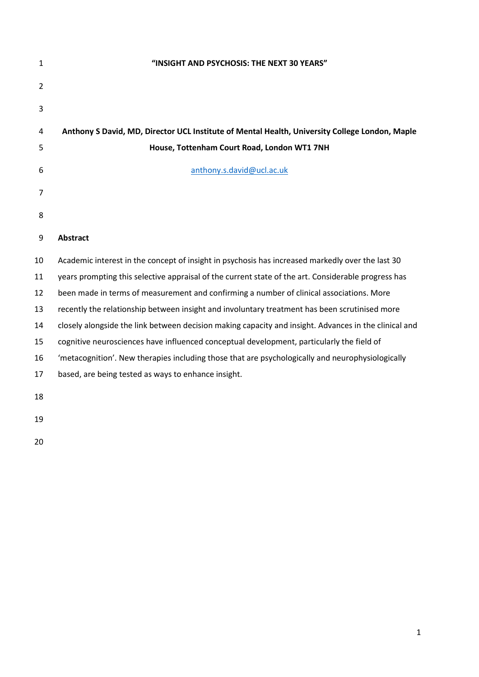| $\mathbf{1}$   | "INSIGHT AND PSYCHOSIS: THE NEXT 30 YEARS"                                                            |  |  |  |  |
|----------------|-------------------------------------------------------------------------------------------------------|--|--|--|--|
| $\overline{2}$ |                                                                                                       |  |  |  |  |
| 3              |                                                                                                       |  |  |  |  |
| 4              | Anthony S David, MD, Director UCL Institute of Mental Health, University College London, Maple        |  |  |  |  |
| 5              | House, Tottenham Court Road, London WT1 7NH                                                           |  |  |  |  |
| 6              | anthony.s.david@ucl.ac.uk                                                                             |  |  |  |  |
| 7              |                                                                                                       |  |  |  |  |
| 8              |                                                                                                       |  |  |  |  |
| 9              | <b>Abstract</b>                                                                                       |  |  |  |  |
| 10             | Academic interest in the concept of insight in psychosis has increased markedly over the last 30      |  |  |  |  |
| 11             | years prompting this selective appraisal of the current state of the art. Considerable progress has   |  |  |  |  |
| 12             | been made in terms of measurement and confirming a number of clinical associations. More              |  |  |  |  |
| 13             | recently the relationship between insight and involuntary treatment has been scrutinised more         |  |  |  |  |
| 14             | closely alongside the link between decision making capacity and insight. Advances in the clinical and |  |  |  |  |
| 15             | cognitive neurosciences have influenced conceptual development, particularly the field of             |  |  |  |  |
| 16             | 'metacognition'. New therapies including those that are psychologically and neurophysiologically      |  |  |  |  |
| 17             | based, are being tested as ways to enhance insight.                                                   |  |  |  |  |
| 18             |                                                                                                       |  |  |  |  |
| 19             |                                                                                                       |  |  |  |  |
| 20             |                                                                                                       |  |  |  |  |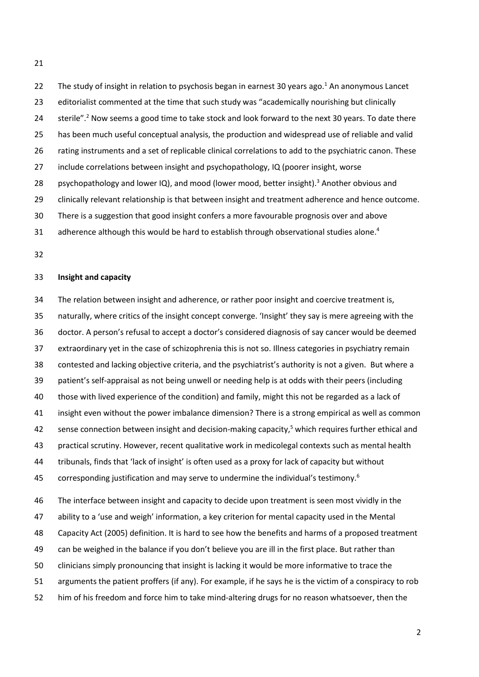22 The study of insight in relation to psychosis began in earnest 30 years ago.<sup>1</sup> An anonymous Lancet editorialist commented at the time that such study was "academically nourishing but clinically 24 sterile".<sup>2</sup> Now seems a good time to take stock and look forward to the next 30 years. To date there has been much useful conceptual analysis, the production and widespread use of reliable and valid rating instruments and a set of replicable clinical correlations to add to the psychiatric canon. These include correlations between insight and psychopathology, IQ (poorer insight, worse 28 psychopathology and lower IQ), and mood (lower mood, better insight).<sup>3</sup> Another obvious and clinically relevant relationship is that between insight and treatment adherence and hence outcome. There is a suggestion that good insight confers a more favourable prognosis over and above 31 adherence although this would be hard to establish through observational studies alone.<sup>4</sup>

## **Insight and capacity**

 The relation between insight and adherence, or rather poor insight and coercive treatment is, naturally, where critics of the insight concept converge. 'Insight' they say is mere agreeing with the doctor. A person's refusal to accept a doctor's considered diagnosis of say cancer would be deemed extraordinary yet in the case of schizophrenia this is not so. Illness categories in psychiatry remain contested and lacking objective criteria, and the psychiatrist's authority is not a given. But where a patient's self-appraisal as not being unwell or needing help is at odds with their peers (including those with lived experience of the condition) and family, might this not be regarded as a lack of insight even without the power imbalance dimension? There is a strong empirical as well as common 42 sense connection between insight and decision-making capacity,<sup>5</sup> which requires further ethical and practical scrutiny. However, recent qualitative work in medicolegal contexts such as mental health tribunals, finds that 'lack of insight' is often used as a proxy for lack of capacity but without 45 corresponding justification and may serve to undermine the individual's testimony.<sup>6</sup>

 The interface between insight and capacity to decide upon treatment is seen most vividly in the ability to a 'use and weigh' information, a key criterion for mental capacity used in the Mental Capacity Act (2005) definition. It is hard to see how the benefits and harms of a proposed treatment can be weighed in the balance if you don't believe you are ill in the first place. But rather than clinicians simply pronouncing that insight is lacking it would be more informative to trace the arguments the patient proffers (if any). For example, if he says he is the victim of a conspiracy to rob him of his freedom and force him to take mind-altering drugs for no reason whatsoever, then the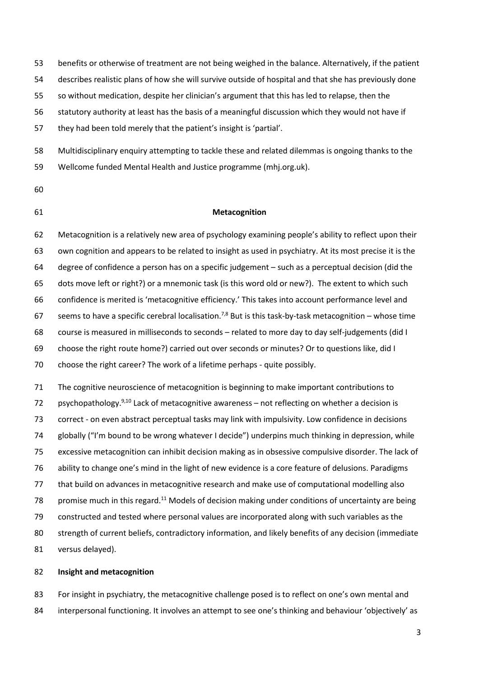benefits or otherwise of treatment are not being weighed in the balance. Alternatively, if the patient describes realistic plans of how she will survive outside of hospital and that she has previously done

so without medication, despite her clinician's argument that this has led to relapse, then the

statutory authority at least has the basis of a meaningful discussion which they would not have if

they had been told merely that the patient's insight is 'partial'.

 Multidisciplinary enquiry attempting to tackle these and related dilemmas is ongoing thanks to the Wellcome funded Mental Health and Justice programme (mhj.org.uk).

## **Metacognition**

 Metacognition is a relatively new area of psychology examining people's ability to reflect upon their own cognition and appears to be related to insight as used in psychiatry. At its most precise it is the degree of confidence a person has on a specific judgement – such as a perceptual decision (did the dots move left or right?) or a mnemonic task (is this word old or new?). The extent to which such confidence is merited is 'metacognitive efficiency.' This takes into account performance level and 67 seems to have a specific cerebral localisation.<sup>7,8</sup> But is this task-by-task metacognition – whose time course is measured in milliseconds to seconds – related to more day to day self-judgements (did I choose the right route home?) carried out over seconds or minutes? Or to questions like, did I choose the right career? The work of a lifetime perhaps - quite possibly. The cognitive neuroscience of metacognition is beginning to make important contributions to

72 psychopathology. $9,10$  Lack of metacognitive awareness – not reflecting on whether a decision is correct - on even abstract perceptual tasks may link with impulsivity. Low confidence in decisions globally ("I'm bound to be wrong whatever I decide") underpins much thinking in depression, while excessive metacognition can inhibit decision making as in obsessive compulsive disorder. The lack of ability to change one's mind in the light of new evidence is a core feature of delusions. Paradigms that build on advances in metacognitive research and make use of computational modelling also 78 promise much in this regard.<sup>11</sup> Models of decision making under conditions of uncertainty are being constructed and tested where personal values are incorporated along with such variables as the strength of current beliefs, contradictory information, and likely benefits of any decision (immediate versus delayed).

## **Insight and metacognition**

 For insight in psychiatry, the metacognitive challenge posed is to reflect on one's own mental and 84 interpersonal functioning. It involves an attempt to see one's thinking and behaviour 'objectively' as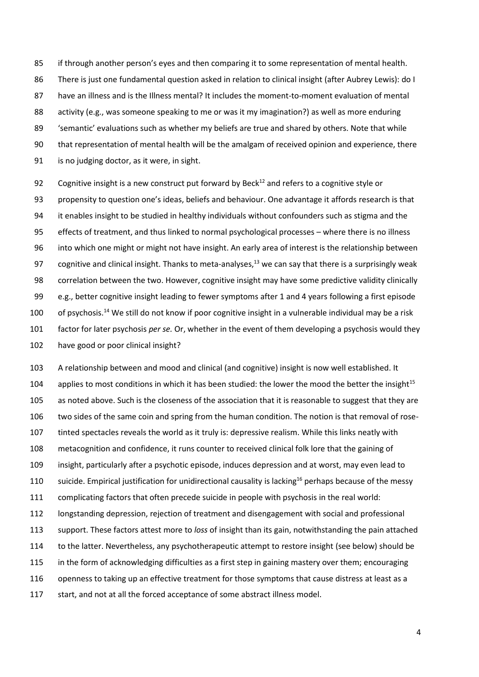if through another person's eyes and then comparing it to some representation of mental health. There is just one fundamental question asked in relation to clinical insight (after Aubrey Lewis): do I have an illness and is the Illness mental? It includes the moment-to-moment evaluation of mental activity (e.g., was someone speaking to me or was it my imagination?) as well as more enduring 'semantic' evaluations such as whether my beliefs are true and shared by others. Note that while that representation of mental health will be the amalgam of received opinion and experience, there is no judging doctor, as it were, in sight.

92 Cognitive insight is a new construct put forward by Beck<sup>12</sup> and refers to a cognitive style or propensity to question one's ideas, beliefs and behaviour. One advantage it affords research is that it enables insight to be studied in healthy individuals without confounders such as stigma and the effects of treatment, and thus linked to normal psychological processes – where there is no illness into which one might or might not have insight. An early area of interest is the relationship between 97 cognitive and clinical insight. Thanks to meta-analyses,<sup>13</sup> we can say that there is a surprisingly weak correlation between the two. However, cognitive insight may have some predictive validity clinically e.g., better cognitive insight leading to fewer symptoms after 1 and 4 years following a first episode 100 of psychosis.<sup>14</sup> We still do not know if poor cognitive insight in a vulnerable individual may be a risk factor for later psychosis *per se.* Or, whether in the event of them developing a psychosis would they have good or poor clinical insight?

 A relationship between and mood and clinical (and cognitive) insight is now well established. It 104 applies to most conditions in which it has been studied: the lower the mood the better the insight<sup>15</sup> 105 as noted above. Such is the closeness of the association that it is reasonable to suggest that they are two sides of the same coin and spring from the human condition. The notion is that removal of rose- tinted spectacles reveals the world as it truly is: depressive realism. While this links neatly with metacognition and confidence, it runs counter to received clinical folk lore that the gaining of insight, particularly after a psychotic episode, induces depression and at worst, may even lead to 110 suicide. Empirical justification for unidirectional causality is lacking<sup>16</sup> perhaps because of the messy complicating factors that often precede suicide in people with psychosis in the real world: longstanding depression, rejection of treatment and disengagement with social and professional support. These factors attest more to *loss* of insight than its gain, notwithstanding the pain attached to the latter. Nevertheless, any psychotherapeutic attempt to restore insight (see below) should be in the form of acknowledging difficulties as a first step in gaining mastery over them; encouraging openness to taking up an effective treatment for those symptoms that cause distress at least as a 117 start, and not at all the forced acceptance of some abstract illness model.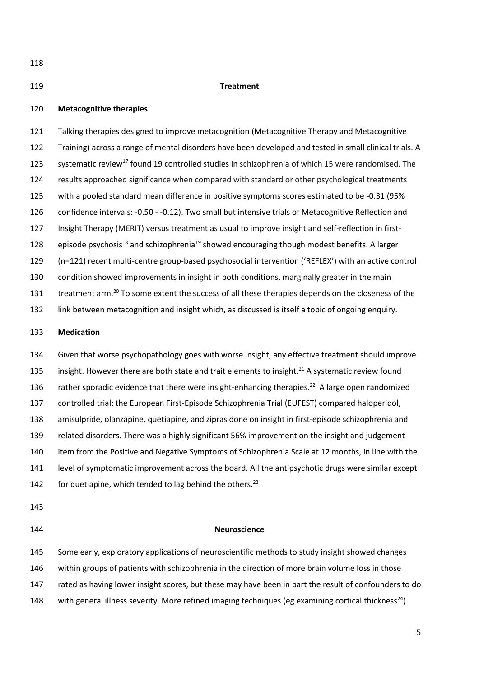#### **Treatment**

## **Metacognitive therapies**

 Talking therapies designed to improve metacognition (Metacognitive Therapy and Metacognitive Training) across a range of mental disorders have been developed and tested in small clinical trials. A 123 systematic review<sup>17</sup> found 19 controlled studies in schizophrenia of which 15 were randomised. The results approached significance when compared with standard or other psychological treatments with a pooled standard mean difference in positive symptoms scores estimated to be -0.31 (95% confidence intervals: -0.50 - -0.12). Two small but intensive trials of Metacognitive Reflection and Insight Therapy (MERIT) versus treatment as usual to improve insight and self-reflection in first-128 episode psychosis<sup>18</sup> and schizophrenia<sup>19</sup> showed encouraging though modest benefits. A larger (n=121) recent multi-centre group-based psychosocial intervention ('REFLEX') with an active control condition showed improvements in insight in both conditions, marginally greater in the main 131 treatment arm.<sup>20</sup> To some extent the success of all these therapies depends on the closeness of the link between metacognition and insight which, as discussed is itself a topic of ongoing enquiry.

## **Medication**

 Given that worse psychopathology goes with worse insight, any effective treatment should improve 135 insight. However there are both state and trait elements to insight.<sup>21</sup> A systematic review found 136 rather sporadic evidence that there were insight-enhancing therapies.<sup>22</sup> A large open randomized controlled trial: the European First-Episode Schizophrenia Trial (EUFEST) compared haloperidol, amisulpride, olanzapine, quetiapine, and ziprasidone on insight in first-episode schizophrenia and related disorders. There was a highly significant 56% improvement on the insight and judgement item from the Positive and Negative Symptoms of Schizophrenia Scale at 12 months, in line with the level of symptomatic improvement across the board. All the antipsychotic drugs were similar except 142 for quetiapine, which tended to lag behind the others.<sup>23</sup>

- 
- 

#### **Neuroscience**

145 Some early, exploratory applications of neuroscientific methods to study insight showed changes within groups of patients with schizophrenia in the direction of more brain volume loss in those 147 rated as having lower insight scores, but these may have been in part the result of confounders to do 148 with general illness severity. More refined imaging techniques (eg examining cortical thickness<sup>24</sup>)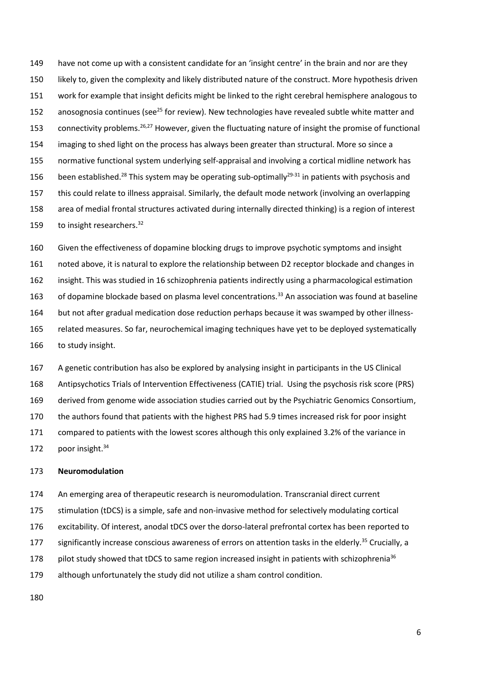have not come up with a consistent candidate for an 'insight centre' in the brain and nor are they likely to, given the complexity and likely distributed nature of the construct. More hypothesis driven work for example that insight deficits might be linked to the right cerebral hemisphere analogous to 152 anosognosia continues (see<sup>25</sup> for review). New technologies have revealed subtle white matter and 153 connectivity problems.<sup>26,27</sup> However, given the fluctuating nature of insight the promise of functional imaging to shed light on the process has always been greater than structural. More so since a normative functional system underlying self-appraisal and involving a cortical midline network has 156 been established.<sup>28</sup> This system may be operating sub-optimally<sup>29-31</sup> in patients with psychosis and this could relate to illness appraisal. Similarly, the default mode network (involving an overlapping area of medial frontal structures activated during internally directed thinking) is a region of interest 159 to insight researchers.<sup>32</sup>

 Given the effectiveness of dopamine blocking drugs to improve psychotic symptoms and insight noted above, it is natural to explore the relationship between D2 receptor blockade and changes in insight. This was studied in 16 schizophrenia patients indirectly using a pharmacological estimation 163 of dopamine blockade based on plasma level concentrations.<sup>33</sup> An association was found at baseline but not after gradual medication dose reduction perhaps because it was swamped by other illness- related measures. So far, neurochemical imaging techniques have yet to be deployed systematically to study insight.

 A genetic contribution has also be explored by analysing insight in participants in the US Clinical Antipsychotics Trials of Intervention Effectiveness (CATIE) trial. Using the psychosis risk score (PRS) derived from genome wide association studies carried out by the Psychiatric Genomics Consortium, the authors found that patients with the highest PRS had 5.9 times increased risk for poor insight compared to patients with the lowest scores although this only explained 3.2% of the variance in 172 poor insight.

#### **Neuromodulation**

 An emerging area of therapeutic research is neuromodulation. Transcranial direct current stimulation (tDCS) is a simple, safe and non-invasive method for selectively modulating cortical excitability. Of interest, anodal tDCS over the dorso-lateral prefrontal cortex has been reported to 177 significantly increase conscious awareness of errors on attention tasks in the elderly.<sup>35</sup> Crucially, a 178 pilot study showed that tDCS to same region increased insight in patients with schizophrenia<sup>36</sup> although unfortunately the study did not utilize a sham control condition.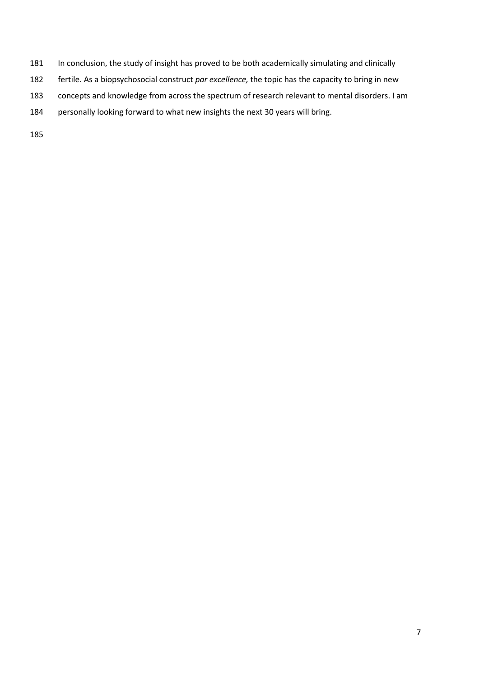- In conclusion, the study of insight has proved to be both academically simulating and clinically
- fertile. As a biopsychosocial construct *par excellence,* the topic has the capacity to bring in new
- concepts and knowledge from across the spectrum of research relevant to mental disorders. I am
- personally looking forward to what new insights the next 30 years will bring.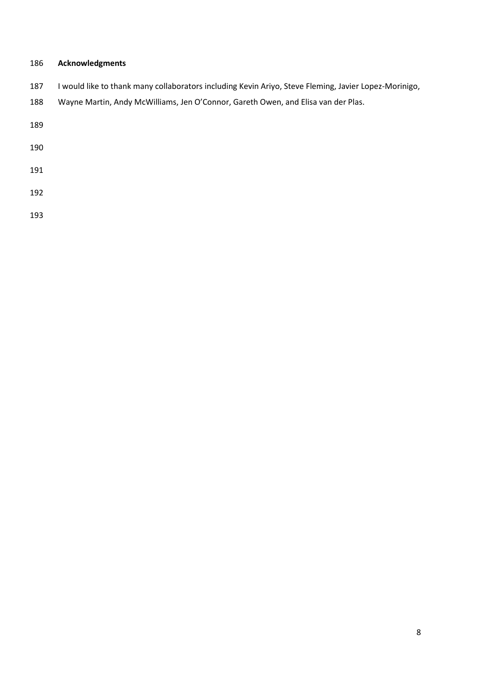# **Acknowledgments**

| 187 | I would like to thank many collaborators including Kevin Ariyo, Steve Fleming, Javier Lopez-Morinigo, |  |  |  |
|-----|-------------------------------------------------------------------------------------------------------|--|--|--|
|-----|-------------------------------------------------------------------------------------------------------|--|--|--|

Wayne Martin, Andy McWilliams, Jen O'Connor, Gareth Owen, and Elisa van der Plas.

- 
- 
- 
-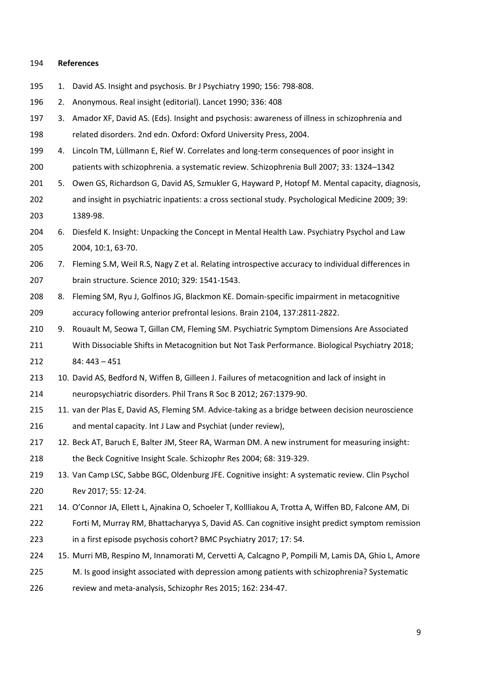#### **References**

- 1. David AS. Insight and psychosis. Br J Psychiatry 1990; 156: 798-808.
- 2. Anonymous. Real insight (editorial). Lancet 1990; 336: 408
- 3. Amador XF, David AS. (Eds). Insight and psychosis: awareness of illness in schizophrenia and related disorders. 2nd edn. Oxford: Oxford University Press, 2004.
- 4. Lincoln TM, Lüllmann E, Rief W. Correlates and long-term consequences of poor insight in patients with schizophrenia. a systematic review. Schizophrenia Bull 2007; 33: 1324–1342
- 201 5. Owen GS, Richardson G, David AS, Szmukler G, Hayward P, Hotopf M. Mental capacity, diagnosis, and insight in psychiatric inpatients: a cross sectional study. Psychological Medicine 2009; 39: 1389-98.
- 6. Diesfeld K. Insight: Unpacking the Concept in Mental Health Law. Psychiatry Psychol and Law 2004, 10:1, 63-70.
- 7. Fleming S.M, Weil R.S, Nagy Z et al. Relating introspective accuracy to individual differences in brain structure. Science 2010; 329: 1541-1543.
- 8. Fleming SM, Ryu J, Golfinos JG, Blackmon KE. Domain-specific impairment in metacognitive accuracy following anterior prefrontal lesions. Brain 2104, 137:2811-2822.
- 210 9. Rouault M, Seowa T, Gillan CM, Fleming SM. Psychiatric Symptom Dimensions Are Associated With Dissociable Shifts in Metacognition but Not Task Performance. Biological Psychiatry 2018; 84: 443 – 451
- 213 10. David AS, Bedford N, Wiffen B, Gilleen J. Failures of metacognition and lack of insight in
- neuropsychiatric disorders. Phil Trans R Soc B 2012; 267:1379-90.
- 11. van der Plas E, David AS, Fleming SM. Advice-taking as a bridge between decision neuroscience and mental capacity. Int J Law and Psychiat (under review),
- 12. Beck AT, Baruch E, Balter JM, Steer RA, Warman DM. A new instrument for measuring insight: the Beck Cognitive Insight Scale. Schizophr Res 2004; 68: 319-329.
- 219 13. Van Camp LSC, Sabbe BGC, Oldenburg JFE. Cognitive insight: A systematic review. Clin Psychol Rev 2017; 55: 12-24.
- 14. O'Connor JA, Ellett L, Ajnakina O, Schoeler T, Kollliakou A, Trotta A, Wiffen BD, Falcone AM, Di
- Forti M, Murray RM, Bhattacharyya S, David AS. Can cognitive insight predict symptom remission in a first episode psychosis cohort? BMC Psychiatry 2017; 17: 54.
- 15. Murri MB, Respino M, Innamorati M, Cervetti A, Calcagno P, Pompili M, Lamis DA, Ghio L, Amore
- M. Is good insight associated with depression among patients with schizophrenia? Systematic
- review and meta-analysis, Schizophr Res 2015; 162: 234-47.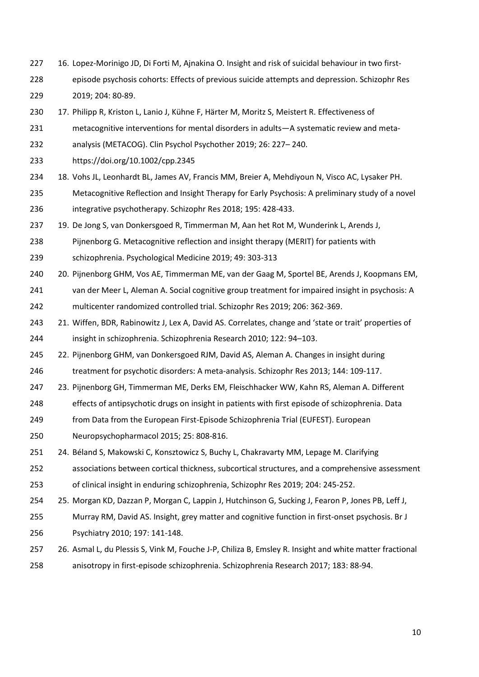16. Lopez-Morinigo JD, Di Forti M, Ajnakina O. Insight and risk of suicidal behaviour in two first-episode psychosis cohorts: Effects of previous suicide attempts and depression. Schizophr Res

2019; 204: 80-89.

- 17. Philipp R, Kriston L, Lanio J, Kühne F, Härter M, Moritz S, Meistert R. Effectiveness of
- 231 metacognitive interventions for mental disorders in adults—A systematic review and meta-
- analysis (METACOG). Clin Psychol Psychother 2019; 26: 227– 240.
- https://doi.org/10.1002/cpp.2345
- 18. Vohs JL, Leonhardt BL, James AV, Francis MM, Breier A, Mehdiyoun N, Visco AC, Lysaker PH.
- Metacognitive Reflection and Insight Therapy for Early Psychosis: A preliminary study of a novel integrative psychotherapy. Schizophr Res 2018; 195: 428-433.
- 19. De Jong S, van Donkersgoed R, Timmerman M, Aan het Rot M, Wunderink L, Arends J,
- Pijnenborg G. Metacognitive reflection and insight therapy (MERIT) for patients with
- schizophrenia. Psychological Medicine 2019; 49: 303-313
- 20. Pijnenborg GHM, Vos AE, Timmerman ME, van der Gaag M, Sportel BE, Arends J, Koopmans EM,
- van der Meer L, Aleman A. Social cognitive group treatment for impaired insight in psychosis: A
- multicenter randomized controlled trial. Schizophr Res 2019; 206: 362-369.
- 21. Wiffen, BDR, Rabinowitz J, Lex A, David AS. Correlates, change and 'state or trait' properties of insight in schizophrenia. Schizophrenia Research 2010; 122: 94–103.
- 22. Pijnenborg GHM, van Donkersgoed RJM, David AS, Aleman A. Changes in insight during treatment for psychotic disorders: A meta-analysis. Schizophr Res 2013; 144: 109-117.
- 23. Pijnenborg GH, Timmerman ME, Derks EM, Fleischhacker WW, Kahn RS, Aleman A. Different
- effects of antipsychotic drugs on insight in patients with first episode of schizophrenia. Data
- from Data from the European First-Episode Schizophrenia Trial (EUFEST). European
- Neuropsychopharmacol 2015; 25: 808-816.
- 24. Béland S, Makowski C, Konsztowicz S, Buchy L, Chakravarty MM, Lepage M. Clarifying
- associations between cortical thickness, subcortical structures, and a comprehensive assessment of clinical insight in enduring schizophrenia, Schizophr Res 2019; 204: 245-252.
- 25. Morgan KD, Dazzan P, Morgan C, Lappin J, Hutchinson G, Sucking J, Fearon P, Jones PB, Leff J,
- Murray RM, David AS. Insight, grey matter and cognitive function in first-onset psychosis. Br J Psychiatry 2010; 197: 141-148.
- 26. Asmal L, du Plessis S, Vink M, Fouche J-P, Chiliza B, Emsley R. Insight and white matter fractional anisotropy in first-episode schizophrenia. Schizophrenia Research 2017; 183: 88-94.